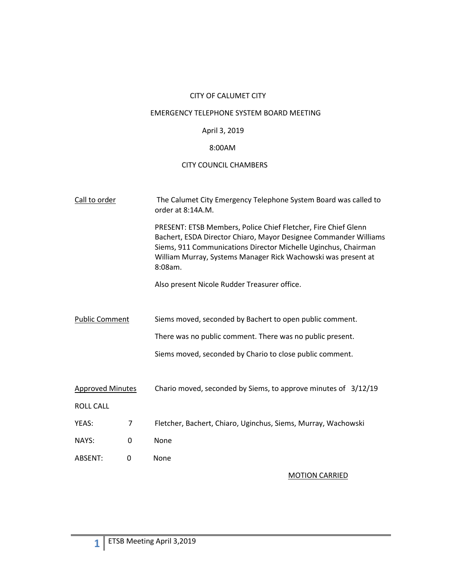# CITY OF CALUMET CITY

## EMERGENCY TELEPHONE SYSTEM BOARD MEETING

# April 3, 2019

# 8:00AM

## CITY COUNCIL CHAMBERS

| Call to order           |   | The Calumet City Emergency Telephone System Board was called to<br>order at 8:14A.M.                                                                                                                                                                                             |
|-------------------------|---|----------------------------------------------------------------------------------------------------------------------------------------------------------------------------------------------------------------------------------------------------------------------------------|
|                         |   | PRESENT: ETSB Members, Police Chief Fletcher, Fire Chief Glenn<br>Bachert, ESDA Director Chiaro, Mayor Designee Commander Williams<br>Siems, 911 Communications Director Michelle Uginchus, Chairman<br>William Murray, Systems Manager Rick Wachowski was present at<br>8:08am. |
|                         |   | Also present Nicole Rudder Treasurer office.                                                                                                                                                                                                                                     |
|                         |   |                                                                                                                                                                                                                                                                                  |
| <b>Public Comment</b>   |   | Siems moved, seconded by Bachert to open public comment.                                                                                                                                                                                                                         |
|                         |   | There was no public comment. There was no public present.                                                                                                                                                                                                                        |
|                         |   | Siems moved, seconded by Chario to close public comment.                                                                                                                                                                                                                         |
|                         |   |                                                                                                                                                                                                                                                                                  |
| <b>Approved Minutes</b> |   | Chario moved, seconded by Siems, to approve minutes of 3/12/19                                                                                                                                                                                                                   |
| <b>ROLL CALL</b>        |   |                                                                                                                                                                                                                                                                                  |
| YEAS:                   | 7 | Fletcher, Bachert, Chiaro, Uginchus, Siems, Murray, Wachowski                                                                                                                                                                                                                    |
| NAYS:                   | 0 | None                                                                                                                                                                                                                                                                             |
| ABSENT:                 | 0 | None                                                                                                                                                                                                                                                                             |

#### MOTION CARRIED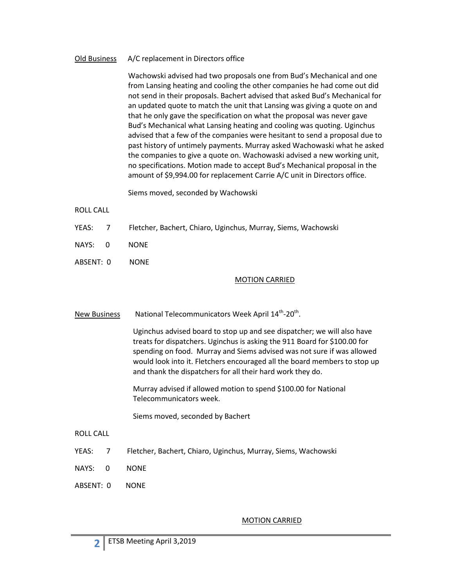## Old Business A/C replacement in Directors office

Wachowski advised had two proposals one from Bud's Mechanical and one from Lansing heating and cooling the other companies he had come out did not send in their proposals. Bachert advised that asked Bud's Mechanical for an updated quote to match the unit that Lansing was giving a quote on and that he only gave the specification on what the proposal was never gave Bud's Mechanical what Lansing heating and cooling was quoting. Uginchus advised that a few of the companies were hesitant to send a proposal due to past history of untimely payments. Murray asked Wachowaski what he asked the companies to give a quote on. Wachowaski advised a new working unit, no specifications. Motion made to accept Bud's Mechanical proposal in the amount of \$9,994.00 for replacement Carrie A/C unit in Directors office.

Siems moved, seconded by Wachowski

## ROLL CALL

- YEAS: 7 Fletcher, Bachert, Chiaro, Uginchus, Murray, Siems, Wachowski
- NAYS: 0 NONE
- ABSENT: 0 NONE

## MOTION CARRIED

New Business National Telecommunicators Week April 14<sup>th</sup>-20<sup>th</sup>.

Uginchus advised board to stop up and see dispatcher; we will also have treats for dispatchers. Uginchus is asking the 911 Board for \$100.00 for spending on food. Murray and Siems advised was not sure if was allowed would look into it. Fletchers encouraged all the board members to stop up and thank the dispatchers for all their hard work they do.

Murray advised if allowed motion to spend \$100.00 for National Telecommunicators week.

Siems moved, seconded by Bachert

- ROLL CALL
- YEAS: 7 Fletcher, Bachert, Chiaro, Uginchus, Murray, Siems, Wachowski
- NAYS: 0 NONE
- ABSENT: 0 NONE

**2**

#### MOTION CARRIED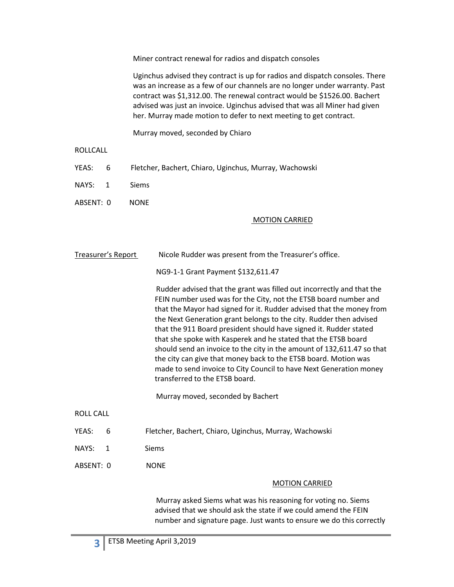Miner contract renewal for radios and dispatch consoles

Uginchus advised they contract is up for radios and dispatch consoles. There was an increase as a few of our channels are no longer under warranty. Past contract was \$1,312.00. The renewal contract would be \$1526.00. Bachert advised was just an invoice. Uginchus advised that was all Miner had given her. Murray made motion to defer to next meeting to get contract.

Murray moved, seconded by Chiaro

## ROLLCALL

- YEAS: 6 Fletcher, Bachert, Chiaro, Uginchus, Murray, Wachowski
- NAYS: 1 Siems
- ABSENT: 0 NONE

## MOTION CARRIED

Treasurer's Report Nicole Rudder was present from the Treasurer's office.

NG9-1-1 Grant Payment \$132,611.47

Rudder advised that the grant was filled out incorrectly and that the FEIN number used was for the City, not the ETSB board number and that the Mayor had signed for it. Rudder advised that the money from the Next Generation grant belongs to the city. Rudder then advised that the 911 Board president should have signed it. Rudder stated that she spoke with Kasperek and he stated that the ETSB board should send an invoice to the city in the amount of 132,611.47 so that the city can give that money back to the ETSB board. Motion was made to send invoice to City Council to have Next Generation money transferred to the ETSB board.

Murray moved, seconded by Bachert

- ROLL CALL
- YEAS: 6 Fletcher, Bachert, Chiaro, Uginchus, Murray, Wachowski
- NAYS: 1 Siems
- ABSENT: 0 NONE

#### MOTION CARRIED

Murray asked Siems what was his reasoning for voting no. Siems advised that we should ask the state if we could amend the FEIN number and signature page. Just wants to ensure we do this correctly